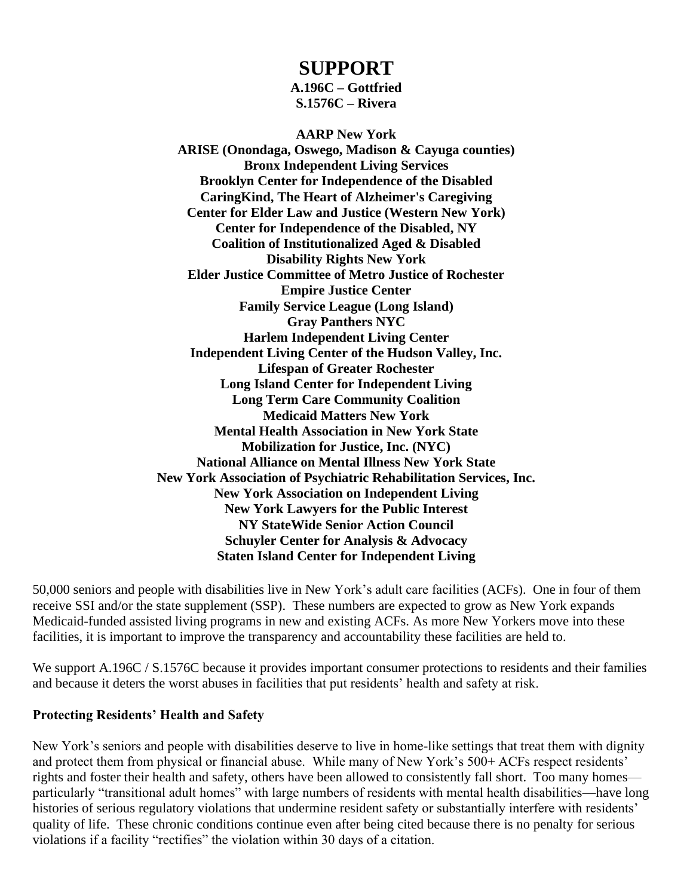## **SUPPORT**

**A.196C – Gottfried S.1576C – Rivera**

**AARP New York ARISE (Onondaga, Oswego, Madison & Cayuga counties) Bronx Independent Living Services Brooklyn Center for Independence of the Disabled CaringKind, The Heart of Alzheimer's Caregiving Center for Elder Law and Justice (Western New York) Center for Independence of the Disabled, NY Coalition of Institutionalized Aged & Disabled Disability Rights New York Elder Justice Committee of Metro Justice of Rochester Empire Justice Center Family Service League (Long Island) Gray Panthers NYC Harlem Independent Living Center Independent Living Center of the Hudson Valley, Inc. Lifespan of Greater Rochester Long Island Center for Independent Living Long Term Care Community Coalition Medicaid Matters New York Mental Health Association in New York State Mobilization for Justice, Inc. (NYC) National Alliance on Mental Illness New York State New York Association of Psychiatric Rehabilitation Services, Inc. New York Association on Independent Living New York Lawyers for the Public Interest NY StateWide Senior Action Council Schuyler Center for Analysis & Advocacy Staten Island Center for Independent Living**

50,000 seniors and people with disabilities live in New York's adult care facilities (ACFs). One in four of them receive SSI and/or the state supplement (SSP). These numbers are expected to grow as New York expands Medicaid-funded assisted living programs in new and existing ACFs. As more New Yorkers move into these facilities, it is important to improve the transparency and accountability these facilities are held to.

We support A.196C / S.1576C because it provides important consumer protections to residents and their families and because it deters the worst abuses in facilities that put residents' health and safety at risk.

## **Protecting Residents' Health and Safety**

New York's seniors and people with disabilities deserve to live in home-like settings that treat them with dignity and protect them from physical or financial abuse. While many of New York's 500+ ACFs respect residents' rights and foster their health and safety, others have been allowed to consistently fall short. Too many homes particularly "transitional adult homes" with large numbers of residents with mental health disabilities—have long histories of serious regulatory violations that undermine resident safety or substantially interfere with residents' quality of life. These chronic conditions continue even after being cited because there is no penalty for serious violations if a facility "rectifies" the violation within 30 days of a citation.